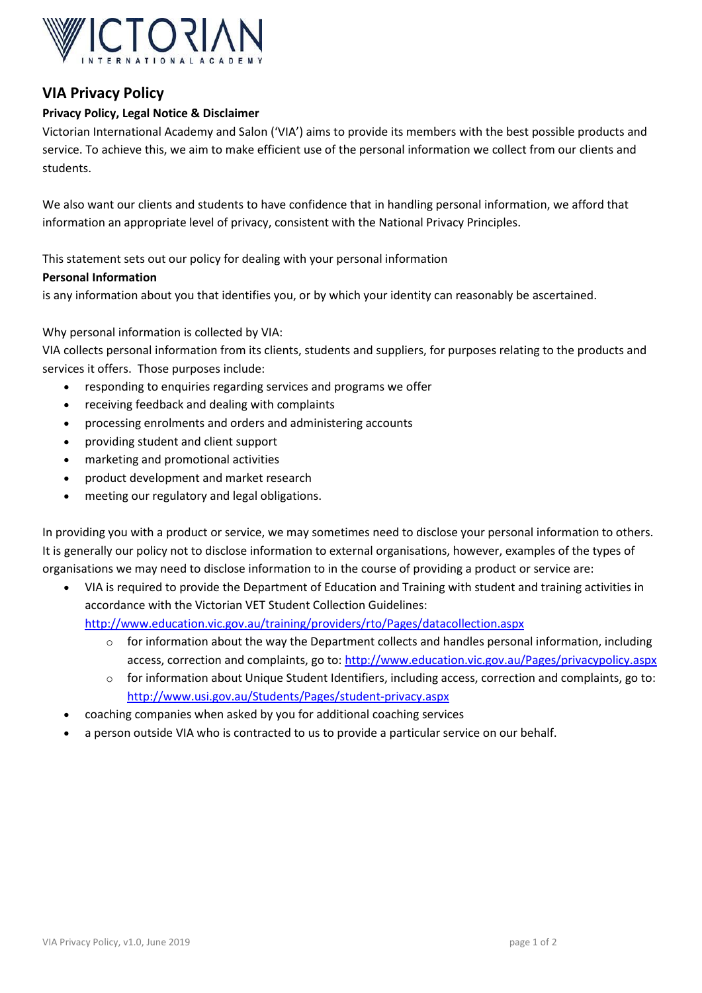

# **VIA Privacy Policy**

# **Privacy Policy, Legal Notice & Disclaimer**

Victorian International Academy and Salon ('VIA') aims to provide its members with the best possible products and service. To achieve this, we aim to make efficient use of the personal information we collect from our clients and students.

We also want our clients and students to have confidence that in handling personal information, we afford that information an appropriate level of privacy, consistent with the National Privacy Principles.

This statement sets out our policy for dealing with your personal information

### **Personal Information**

is any information about you that identifies you, or by which your identity can reasonably be ascertained.

## Why personal information is collected by VIA:

VIA collects personal information from its clients, students and suppliers, for purposes relating to the products and services it offers. Those purposes include:

- responding to enquiries regarding services and programs we offer
- receiving feedback and dealing with complaints
- processing enrolments and orders and administering accounts
- providing student and client support
- marketing and promotional activities
- product development and market research
- meeting our regulatory and legal obligations.

In providing you with a product or service, we may sometimes need to disclose your personal information to others. It is generally our policy not to disclose information to external organisations, however, examples of the types of organisations we may need to disclose information to in the course of providing a product or service are:

 VIA is required to provide the Department of Education and Training with student and training activities in accordance with the Victorian VET Student Collection Guidelines:

<http://www.education.vic.gov.au/training/providers/rto/Pages/datacollection.aspx>

- $\circ$  for information about the way the Department collects and handles personal information, including access, correction and complaints, go to[: http://www.education.vic.gov.au/Pages/privacypolicy.aspx](http://www.education.vic.gov.au/Pages/privacypolicy.aspx)
- $\circ$  for information about Unique Student Identifiers, including access, correction and complaints, go to: <http://www.usi.gov.au/Students/Pages/student-privacy.aspx>
- coaching companies when asked by you for additional coaching services
- a person outside VIA who is contracted to us to provide a particular service on our behalf.